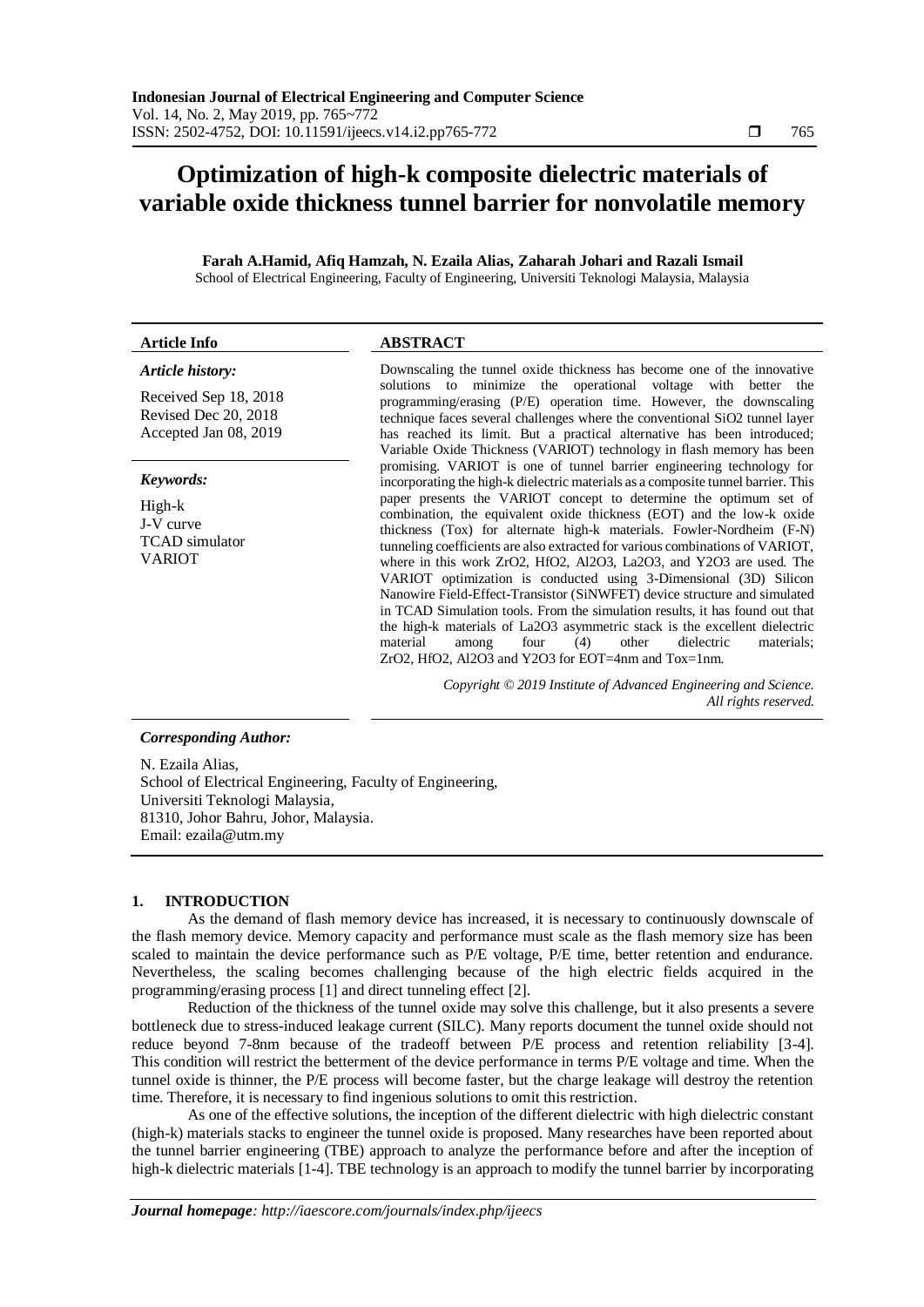# **Optimization of high-k composite dielectric materials of variable oxide thickness tunnel barrier for nonvolatile memory**

**Farah A.Hamid, Afiq Hamzah, N. Ezaila Alias, Zaharah Johari and Razali Ismail** School of Electrical Engineering, Faculty of Engineering, Universiti Teknologi Malaysia, Malaysia

| <b>Article Info</b>                                                    | <b>ABSTRACT</b>                                                                                                                                                                                                                                                                                                                                                                                                                                                                                                                                                                                                                                                                                                                                                                                                             |
|------------------------------------------------------------------------|-----------------------------------------------------------------------------------------------------------------------------------------------------------------------------------------------------------------------------------------------------------------------------------------------------------------------------------------------------------------------------------------------------------------------------------------------------------------------------------------------------------------------------------------------------------------------------------------------------------------------------------------------------------------------------------------------------------------------------------------------------------------------------------------------------------------------------|
| Article history:                                                       | Downscaling the tunnel oxide thickness has become one of the innovative                                                                                                                                                                                                                                                                                                                                                                                                                                                                                                                                                                                                                                                                                                                                                     |
| Received Sep 18, 2018<br>Revised Dec 20, 2018<br>Accepted Jan 08, 2019 | solutions to minimize the operational voltage with better the<br>programming/erasing (P/E) operation time. However, the downscaling<br>technique faces several challenges where the conventional SiO2 tunnel layer<br>has reached its limit. But a practical alternative has been introduced;<br>Variable Oxide Thickness (VARIOT) technology in flash memory has been                                                                                                                                                                                                                                                                                                                                                                                                                                                      |
| Keywords:                                                              | promising. VARIOT is one of tunnel barrier engineering technology for<br>incorporating the high-k dielectric materials as a composite tunnel barrier. This                                                                                                                                                                                                                                                                                                                                                                                                                                                                                                                                                                                                                                                                  |
| High-k<br>J-V curve<br><b>TCAD</b> simulator<br><b>VARIOT</b>          | paper presents the VARIOT concept to determine the optimum set of<br>combination, the equivalent oxide thickness (EOT) and the low-k oxide<br>thickness (Tox) for alternate high-k materials. Fowler-Nordheim (F-N)<br>tunneling coefficients are also extracted for various combinations of VARIOT,<br>where in this work ZrO2, HfO2, Al2O3, La2O3, and Y2O3 are used. The<br>VARIOT optimization is conducted using 3-Dimensional (3D) Silicon<br>Nanowire Field-Effect-Transistor (SiNWFET) device structure and simulated<br>in TCAD Simulation tools. From the simulation results, it has found out that<br>the high-k materials of La2O3 asymmetric stack is the excellent dielectric<br>material<br>four<br>(4)<br>other<br>dielectric<br>materials:<br>among<br>ZrO2, HfO2, Al2O3 and Y2O3 for EOT=4nm and Tox=1nm. |
|                                                                        | Copyright © 2019 Institute of Advanced Engineering and Science.<br>All rights reserved.                                                                                                                                                                                                                                                                                                                                                                                                                                                                                                                                                                                                                                                                                                                                     |
| <b>Corresponding Author:</b>                                           |                                                                                                                                                                                                                                                                                                                                                                                                                                                                                                                                                                                                                                                                                                                                                                                                                             |

N. Ezaila Alias, School of Electrical Engineering, Faculty of Engineering, Universiti Teknologi Malaysia, 81310, Johor Bahru, Johor, Malaysia. Email[: ezaila@utm.my](mailto:ezaila@utm.my)

## **1. INTRODUCTION**

As the demand of flash memory device has increased, it is necessary to continuously downscale of the flash memory device. Memory capacity and performance must scale as the flash memory size has been scaled to maintain the device performance such as P/E voltage, P/E time, better retention and endurance. Nevertheless, the scaling becomes challenging because of the high electric fields acquired in the programming/erasing process [1] and direct tunneling effect [2].

Reduction of the thickness of the tunnel oxide may solve this challenge, but it also presents a severe bottleneck due to stress-induced leakage current (SILC). Many reports document the tunnel oxide should not reduce beyond 7-8nm because of the tradeoff between P/E process and retention reliability [3-4]. This condition will restrict the betterment of the device performance in terms P/E voltage and time. When the tunnel oxide is thinner, the P/E process will become faster, but the charge leakage will destroy the retention time. Therefore, it is necessary to find ingenious solutions to omit this restriction.

As one of the effective solutions, the inception of the different dielectric with high dielectric constant (high-k) materials stacks to engineer the tunnel oxide is proposed. Many researches have been reported about the tunnel barrier engineering (TBE) approach to analyze the performance before and after the inception of high-k dielectric materials [1-4]. TBE technology is an approach to modify the tunnel barrier by incorporating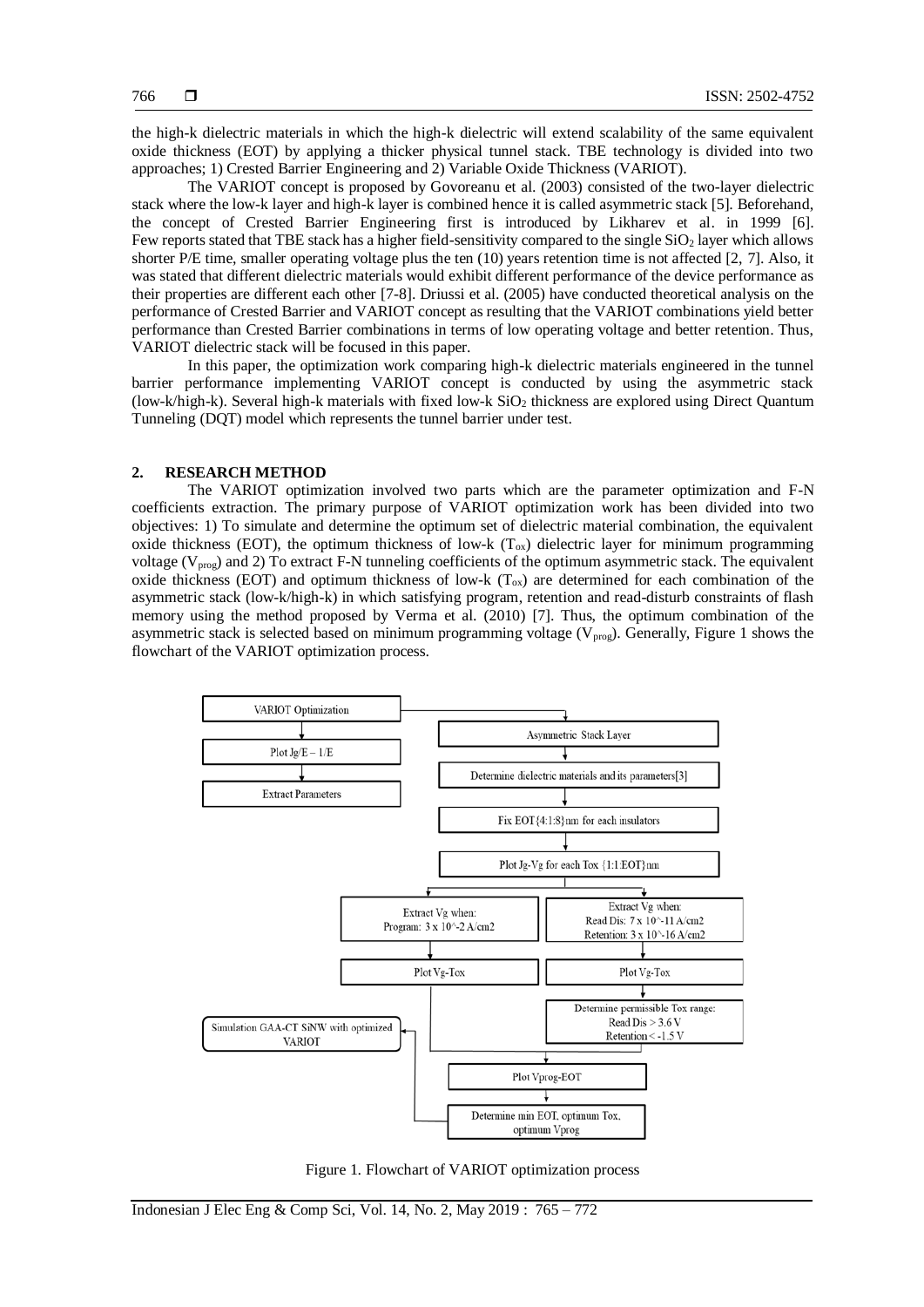the high-k dielectric materials in which the high-k dielectric will extend scalability of the same equivalent oxide thickness (EOT) by applying a thicker physical tunnel stack. TBE technology is divided into two approaches; 1) Crested Barrier Engineering and 2) Variable Oxide Thickness (VARIOT).

The VARIOT concept is proposed by Govoreanu et al. (2003) consisted of the two-layer dielectric stack where the low-k layer and high-k layer is combined hence it is called asymmetric stack [5]. Beforehand, the concept of Crested Barrier Engineering first is introduced by Likharev et al. in 1999 [6]. Few reports stated that TBE stack has a higher field-sensitivity compared to the single SiO<sub>2</sub> layer which allows shorter P/E time, smaller operating voltage plus the ten (10) years retention time is not affected [2, 7]. Also, it was stated that different dielectric materials would exhibit different performance of the device performance as their properties are different each other [7-8]. Driussi et al. (2005) have conducted theoretical analysis on the performance of Crested Barrier and VARIOT concept as resulting that the VARIOT combinations yield better performance than Crested Barrier combinations in terms of low operating voltage and better retention. Thus, VARIOT dielectric stack will be focused in this paper.

In this paper, the optimization work comparing high-k dielectric materials engineered in the tunnel barrier performance implementing VARIOT concept is conducted by using the asymmetric stack (low-k/high-k). Several high-k materials with fixed low-k  $SiO<sub>2</sub>$  thickness are explored using Direct Quantum Tunneling (DQT) model which represents the tunnel barrier under test.

# **2. RESEARCH METHOD**

The VARIOT optimization involved two parts which are the parameter optimization and F-N coefficients extraction. The primary purpose of VARIOT optimization work has been divided into two objectives: 1) To simulate and determine the optimum set of dielectric material combination, the equivalent oxide thickness (EOT), the optimum thickness of low-k  $(T<sub>ox</sub>)$  dielectric layer for minimum programming voltage ( $V_{\text{prog}}$ ) and 2) To extract F-N tunneling coefficients of the optimum asymmetric stack. The equivalent oxide thickness (EOT) and optimum thickness of low-k  $(T_{ox})$  are determined for each combination of the asymmetric stack (low-k/high-k) in which satisfying program, retention and read-disturb constraints of flash memory using the method proposed by Verma et al. (2010) [7]. Thus, the optimum combination of the asymmetric stack is selected based on minimum programming voltage ( $V_{\text{prog}}$ ). Generally, Figure 1 shows the flowchart of the VARIOT optimization process.



Figure 1. Flowchart of VARIOT optimization process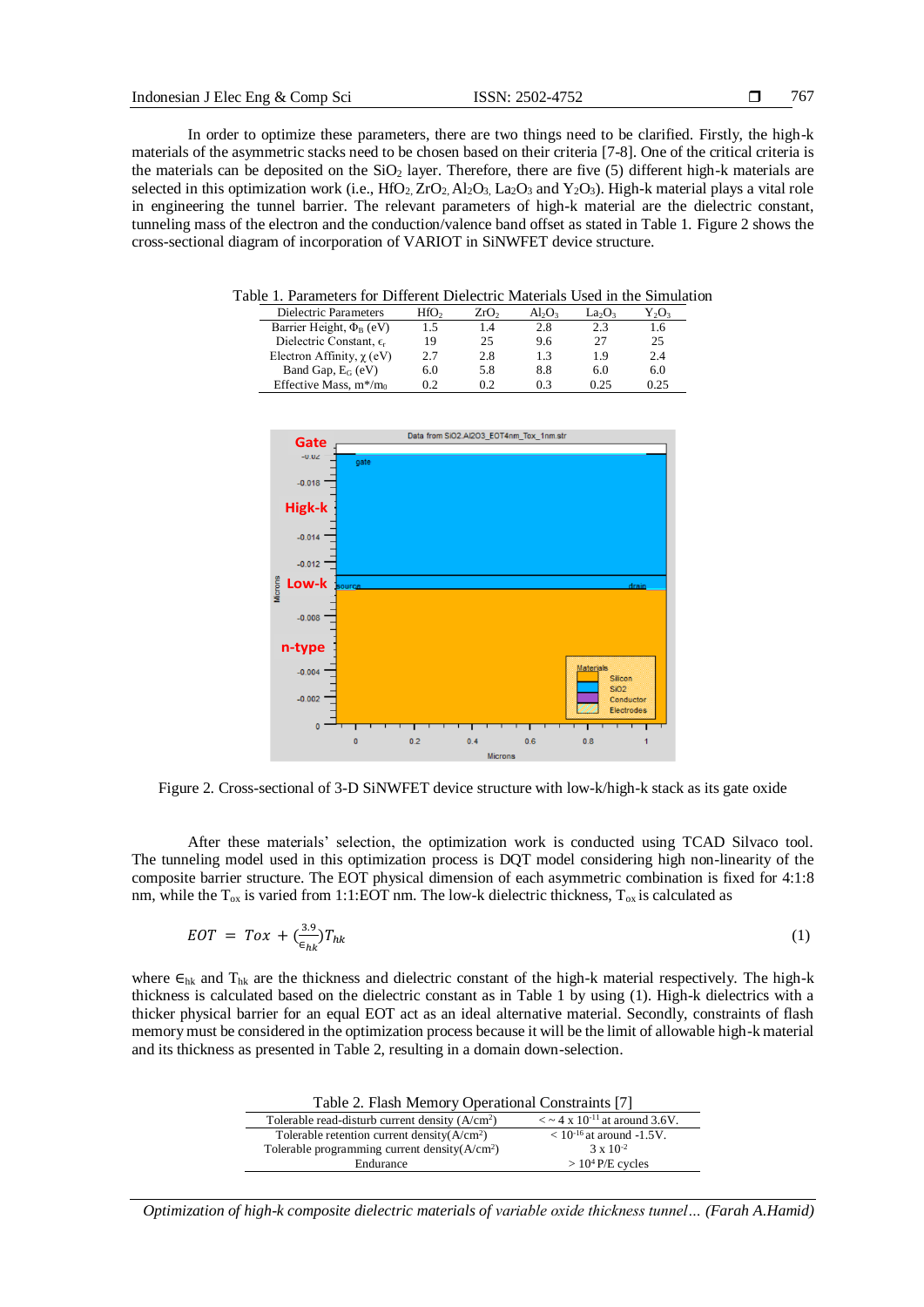In order to optimize these parameters, there are two things need to be clarified. Firstly, the high-k materials of the asymmetric stacks need to be chosen based on their criteria [7-8]. One of the critical criteria is the materials can be deposited on the  $SiO<sub>2</sub>$  layer. Therefore, there are five (5) different high-k materials are selected in this optimization work (i.e.,  $HfO_2$ ,  $ZrO_2$ ,  $Al_2O_3$ ,  $La_2O_3$  and  $Y_2O_3$ ). High-k material plays a vital role in engineering the tunnel barrier. The relevant parameters of high-k material are the dielectric constant, tunneling mass of the electron and the conduction/valence band offset as stated in Table 1. Figure 2 shows the cross-sectional diagram of incorporation of VARIOT in SiNWFET device structure.

Table 1. Parameters for Different Dielectric Materials Used in the Simulation

| Dielectric Parameters               | HfO <sub>2</sub> | ZrO <sub>2</sub> | $Al_2O_3$ | $La_2O_3$ | Y,O, |
|-------------------------------------|------------------|------------------|-----------|-----------|------|
| Barrier Height, $\Phi_{\rm B}$ (eV) |                  | 1.4              | 2.8       | 2.3       | 1.6  |
| Dielectric Constant, $\epsilon_r$   | 19               | 25               | 9.6       | 27        | 25   |
| Electron Affinity, $\chi$ (eV)      | 2.7              | 2.8              | 1.3       | 19        | 2.4  |
| Band Gap, $E_G$ (eV)                | 6.0              | 5.8              | 8.8       | 6.0       | 6.0  |
| Effective Mass, $m*/m_0$            | 02               | 0.2              | 0.3       | 0.25      | 0.25 |



Figure 2. Cross-sectional of 3-D SiNWFET device structure with low-k/high-k stack as its gate oxide

After these materials' selection, the optimization work is conducted using TCAD Silvaco tool. The tunneling model used in this optimization process is DQT model considering high non-linearity of the composite barrier structure. The EOT physical dimension of each asymmetric combination is fixed for 4:1:8 nm, while the  $T_{ox}$  is varied from 1:1:EOT nm. The low-k dielectric thickness,  $T_{ox}$  is calculated as

$$
EOT = Tox + (\frac{3.9}{\epsilon_{hk}})T_{hk} \tag{1}
$$

where  $\epsilon_{hk}$  and  $T_{hk}$  are the thickness and dielectric constant of the high-k material respectively. The high-k thickness is calculated based on the dielectric constant as in Table 1 by using (1). High-k dielectrics with a thicker physical barrier for an equal EOT act as an ideal alternative material. Secondly, constraints of flash memory must be considered in the optimization process because it will be the limit of allowable high-k material and its thickness as presented in Table 2, resulting in a domain down-selection.

| Table 2. Flash Memory Operational Constraints [7] |                                                         |  |
|---------------------------------------------------|---------------------------------------------------------|--|
| Tolerable read-disturb current density $(A/cm2)$  | $\alpha$ < $\sim$ 4 x 10 <sup>-11</sup> at around 3.6V. |  |
| Tolerable retention current density $(A/cm2)$     | $< 10^{-16}$ at around -1.5V.                           |  |
| Tolerable programming current density $(A/cm2)$   | $3 \times 10^{-2}$                                      |  |
| Endurance                                         | $> 104 P/E$ cycles                                      |  |
|                                                   |                                                         |  |

*Optimization of high-k composite dielectric materials of variable oxide thickness tunnel… (Farah A.Hamid)*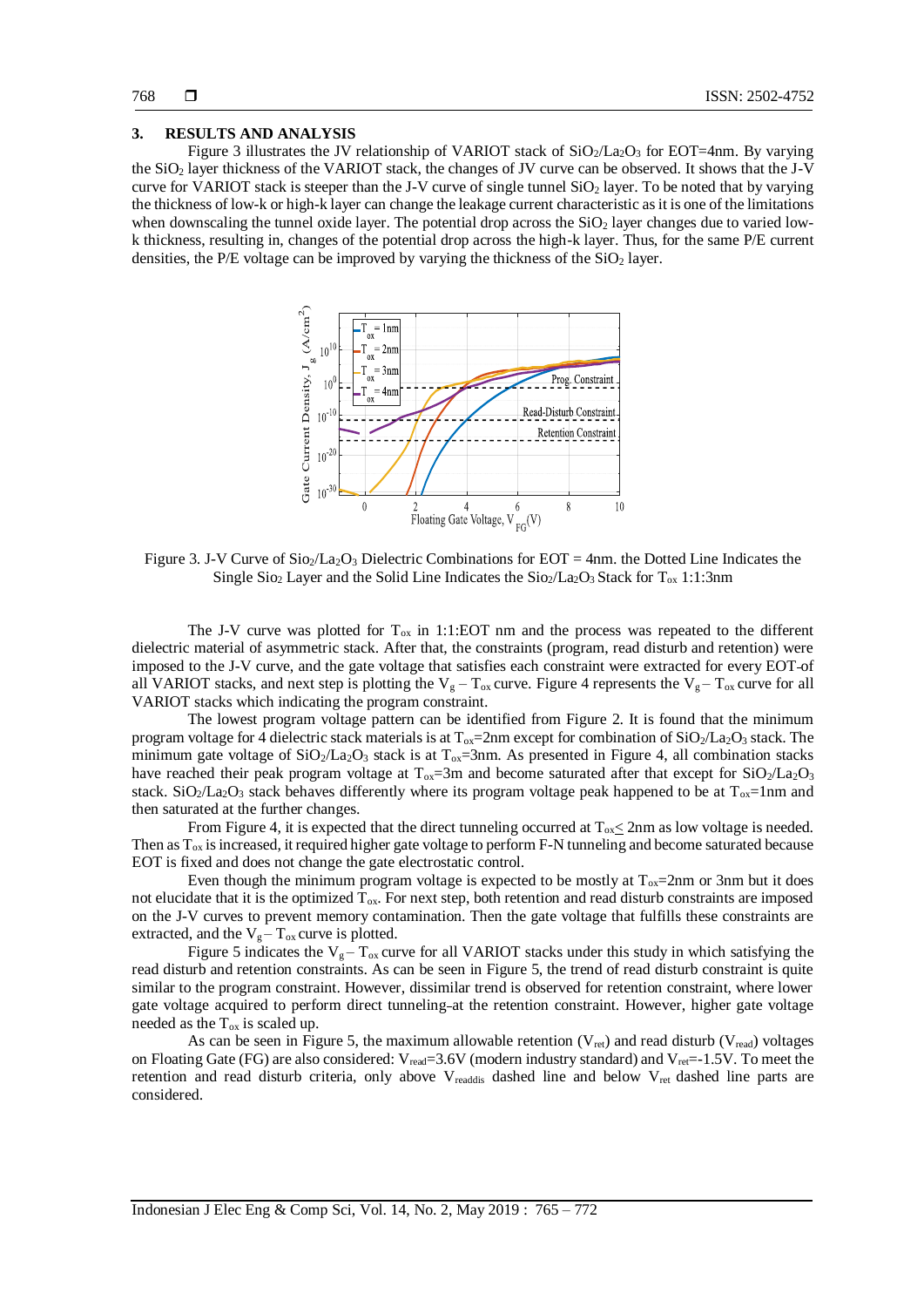#### **3. RESULTS AND ANALYSIS**

Figure 3 illustrates the JV relationship of VARIOT stack of  $SiO_2/La_2O_3$  for EOT=4nm. By varying the SiO<sup>2</sup> layer thickness of the VARIOT stack, the changes of JV curve can be observed. It shows that the J-V curve for VARIOT stack is steeper than the J-V curve of single tunnel  $SiO<sub>2</sub>$  layer. To be noted that by varying the thickness of low-k or high-k layer can change the leakage current characteristic as it is one of the limitations when downscaling the tunnel oxide layer. The potential drop across the  $SiO<sub>2</sub>$  layer changes due to varied lowk thickness, resulting in, changes of the potential drop across the high-k layer. Thus, for the same P/E current densities, the P/E voltage can be improved by varying the thickness of the  $SiO<sub>2</sub>$  layer.



Figure 3. J-V Curve of  $Si_2/La_2O_3$  Dielectric Combinations for EOT = 4nm. the Dotted Line Indicates the Single Sio<sub>2</sub> Layer and the Solid Line Indicates the Sio<sub>2</sub>/La<sub>2</sub>O<sub>3</sub> Stack for T<sub>ox</sub> 1:1:3nm

The J-V curve was plotted for  $T_{ox}$  in 1:1:EOT nm and the process was repeated to the different dielectric material of asymmetric stack. After that, the constraints (program, read disturb and retention) were imposed to the J-V curve, and the gate voltage that satisfies each constraint were extracted for every EOT of all VARIOT stacks, and next step is plotting the  $V_g - T_{ox}$  curve. Figure 4 represents the  $V_g - T_{ox}$  curve for all VARIOT stacks which indicating the program constraint.

The lowest program voltage pattern can be identified from Figure 2. It is found that the minimum program voltage for 4 dielectric stack materials is at  $T_{ox}$ =2nm except for combination of SiO<sub>2</sub>/La<sub>2</sub>O<sub>3</sub> stack. The minimum gate voltage of  $SiO_2/La_2O_3$  stack is at  $T_{ox}$ =3nm. As presented in Figure 4, all combination stacks have reached their peak program voltage at  $T_{ox}$ =3m and become saturated after that except for SiO<sub>2</sub>/La<sub>2</sub>O<sub>3</sub> stack. SiO<sub>2</sub>/La<sub>2</sub>O<sub>3</sub> stack behaves differently where its program voltage peak happened to be at  $T_{ox}$ =1nm and then saturated at the further changes.

From Figure 4, it is expected that the direct tunneling occurred at  $T_{ox} \leq 2$ nm as low voltage is needed. Then as  $T_{ox}$  is increased, it required higher gate voltage to perform F-N tunneling and become saturated because EOT is fixed and does not change the gate electrostatic control.

Even though the minimum program voltage is expected to be mostly at  $T_{ox}=2$ nm or 3nm but it does not elucidate that it is the optimized  $T_{ox}$ . For next step, both retention and read disturb constraints are imposed on the J-V curves to prevent memory contamination. Then the gate voltage that fulfills these constraints are extracted, and the  $V_g - T_{ox}$  curve is plotted.

Figure 5 indicates the  $V_g - T_{ox}$  curve for all VARIOT stacks under this study in which satisfying the read disturb and retention constraints. As can be seen in Figure 5, the trend of read disturb constraint is quite similar to the program constraint. However, dissimilar trend is observed for retention constraint, where lower gate voltage acquired to perform direct tunneling at the retention constraint. However, higher gate voltage needed as the  $T_{ox}$  is scaled up.

As can be seen in Figure 5, the maximum allowable retention  $(V_{ret})$  and read disturb  $(V_{read})$  voltages on Floating Gate (FG) are also considered: V<sub>read</sub>=3.6V (modern industry standard) and V<sub>ret</sub>=-1.5V. To meet the retention and read disturb criteria, only above V<sub>readdis</sub> dashed line and below V<sub>ret</sub> dashed line parts are considered.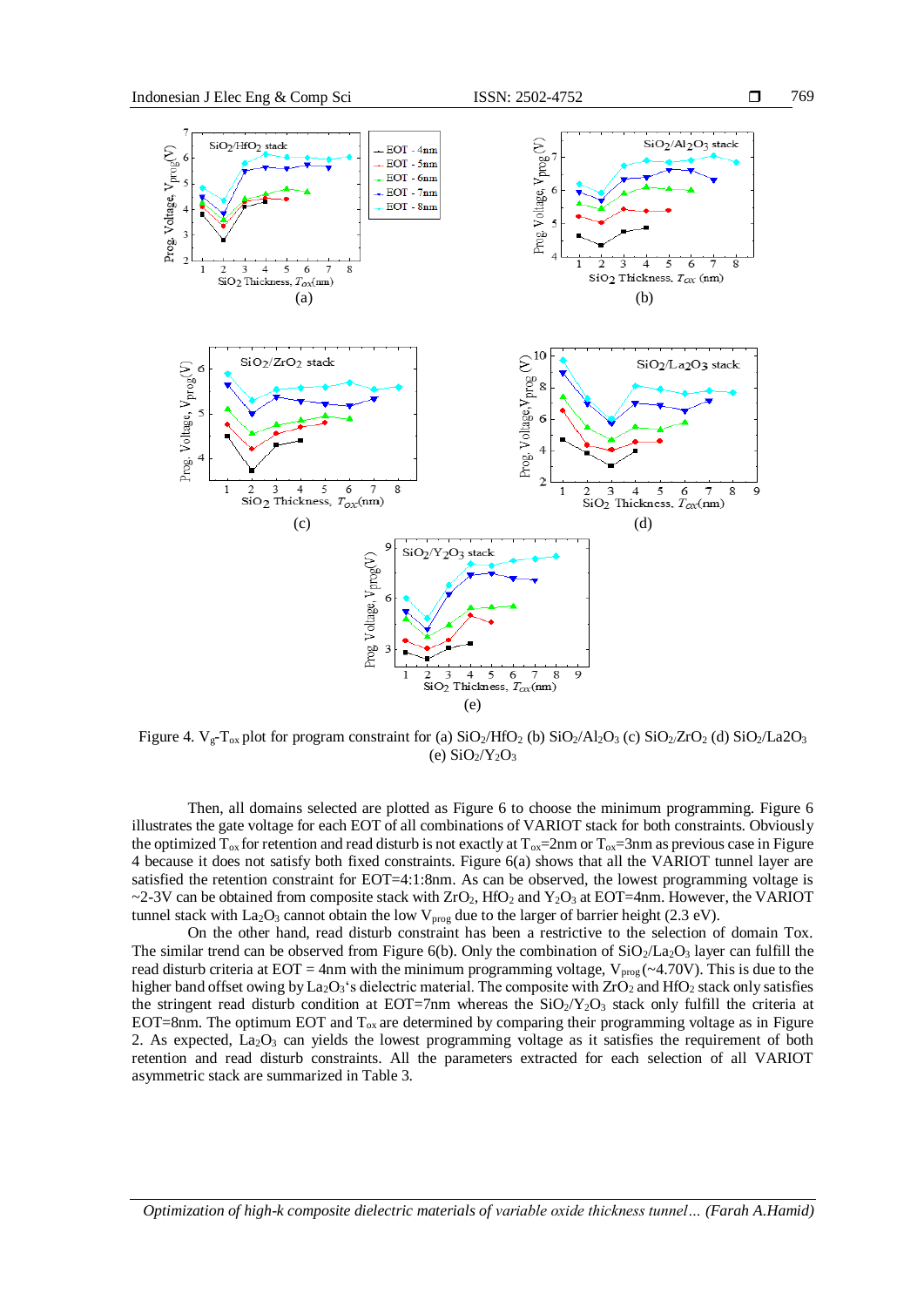

Figure 4.  $V_g-T_{ox}$  plot for program constraint for (a)  $SiO_2/HfO_2$  (b)  $SiO_2/Al_2O_3$  (c)  $SiO_2/ZrO_2$  (d)  $SiO_2/La2O_3$ (e)  $SiO<sub>2</sub>/Y<sub>2</sub>O<sub>3</sub>$ 

Then, all domains selected are plotted as Figure 6 to choose the minimum programming. Figure 6 illustrates the gate voltage for each EOT of all combinations of VARIOT stack for both constraints. Obviously the optimized  $T_{ox}$  for retention and read disturb is not exactly at  $T_{ox}$ =2nm or  $T_{ox}$ =3nm as previous case in Figure 4 because it does not satisfy both fixed constraints. Figure 6(a) shows that all the VARIOT tunnel layer are satisfied the retention constraint for EOT=4:1:8nm. As can be observed, the lowest programming voltage is ~2-3V can be obtained from composite stack with  $ZrO_2$ , HfO<sub>2</sub> and Y<sub>2</sub>O<sub>3</sub> at EOT=4nm. However, the VARIOT tunnel stack with La<sub>2</sub>O<sub>3</sub> cannot obtain the low V<sub>prog</sub> due to the larger of barrier height (2.3 eV).

On the other hand, read disturb constraint has been a restrictive to the selection of domain Tox. The similar trend can be observed from Figure 6(b). Only the combination of  $SiO_2/La_2O_3$  layer can fulfill the read disturb criteria at EOT = 4nm with the minimum programming voltage,  $V_{prog}$  (~4.70V). This is due to the higher band offset owing by La<sub>2</sub>O<sub>3</sub>'s dielectric material. The composite with ZrO<sub>2</sub> and HfO<sub>2</sub> stack only satisfies the stringent read disturb condition at EOT=7nm whereas the  $SiO_2/Y_2O_3$  stack only fulfill the criteria at EOT=8nm. The optimum EOT and  $T_{ox}$  are determined by comparing their programming voltage as in Figure 2. As expected,  $La<sub>2</sub>O<sub>3</sub>$  can yields the lowest programming voltage as it satisfies the requirement of both retention and read disturb constraints. All the parameters extracted for each selection of all VARIOT asymmetric stack are summarized in Table 3.

*Optimization of high-k composite dielectric materials of variable oxide thickness tunnel… (Farah A.Hamid)*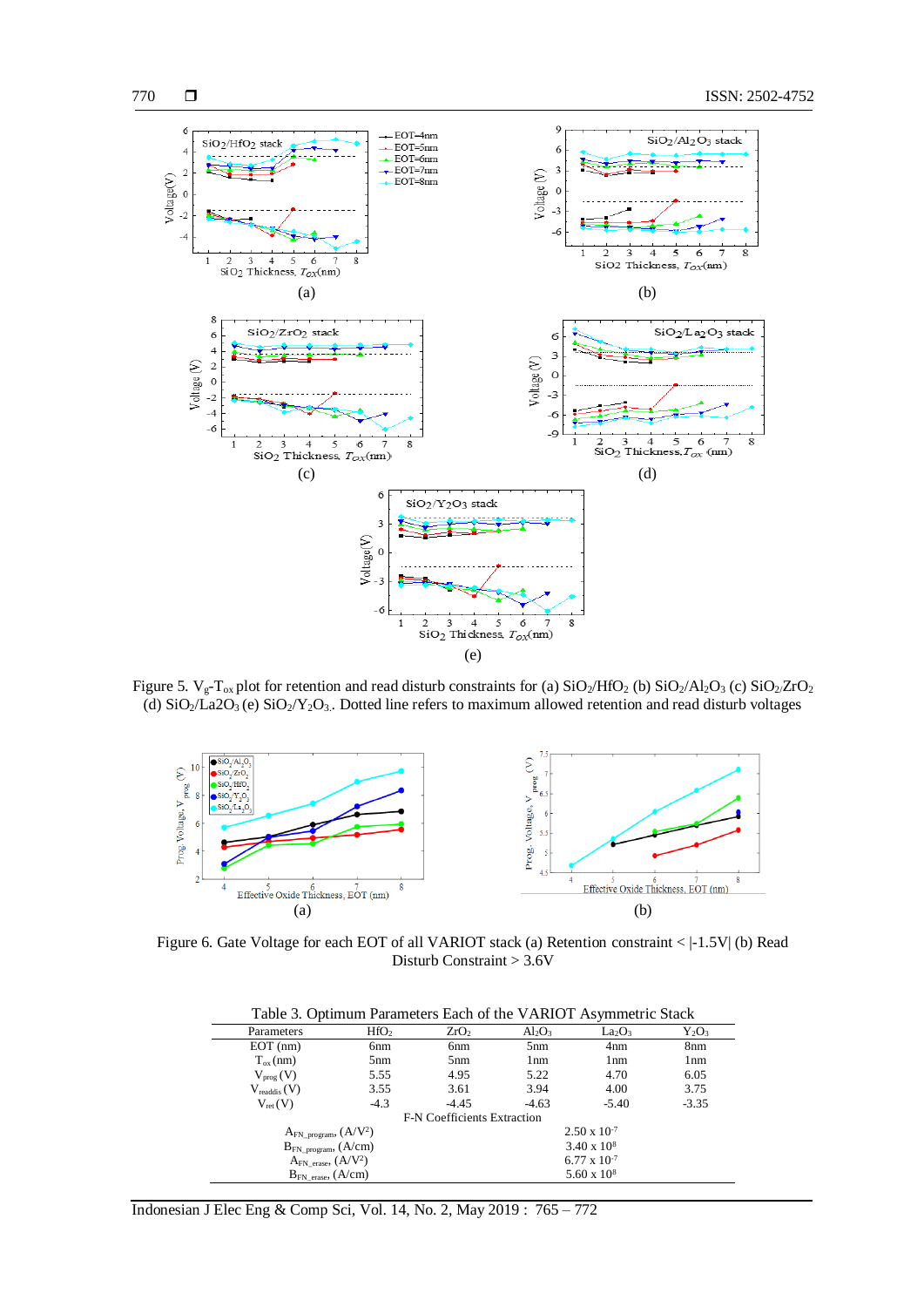

Figure 5.  $V_g-T_{ox}$  plot for retention and read disturb constraints for (a)  $SiO_2/HfO_2$  (b)  $SiO_2/Al_2O_3$  (c)  $SiO_2/ZrO_2$ (d)  $SiO_2/La2O_3$  (e)  $SiO_2/Y_2O_3$ . Dotted line refers to maximum allowed retention and read disturb voltages



Figure 6. Gate Voltage for each EOT of all VARIOT stack (a) Retention constraint <  $|-1.5V|$  (b) Read Disturb Constraint > 3.6V

| Table 3. Optimum Parameters Each of the VARIOT Asymmetric Stack |  |  |
|-----------------------------------------------------------------|--|--|
|-----------------------------------------------------------------|--|--|

| Parameters                    | HfO <sub>2</sub>                                 | ZrO <sub>2</sub>                   | $Al_2O_3$       | $La_2O_3$             | $Y_2O_3$      |
|-------------------------------|--------------------------------------------------|------------------------------------|-----------------|-----------------------|---------------|
| $EOT$ (nm)                    | 6 <sub>nm</sub>                                  | 6 <sub>nm</sub>                    | 5 <sub>nm</sub> | 4nm                   | 8nm           |
| $T_{ox}(nm)$                  | 5 <sub>nm</sub>                                  | 5nm                                | 1 <sub>nm</sub> | 1nm                   | $1 \text{nm}$ |
| $V_{\text{prog}}(V)$          | 5.55                                             | 4.95                               | 5.22            | 4.70                  | 6.05          |
| $V_{\text{readdis}}(V)$       | 3.55                                             | 3.61                               | 3.94            | 4.00                  | 3.75          |
| $V_{ret}(V)$                  | $-4.3$                                           | $-4.45$                            | $-4.63$         | $-5.40$               | $-3.35$       |
|                               |                                                  | <b>F-N</b> Coefficients Extraction |                 |                       |               |
| $A_{FN\_program}$ , $(A/V^2)$ |                                                  |                                    |                 | $2.50 \times 10^{-7}$ |               |
|                               | $3.40 \times 10^8$<br>$B_{FN\_program}$ , (A/cm) |                                    |                 |                       |               |
| $A_{FN}$ erase, $(A/V^2)$     |                                                  |                                    |                 | $6.77 \times 10^{-7}$ |               |
| $B_{FN}$ erase, $(A/cm)$      |                                                  |                                    |                 | $5.60 \times 10^8$    |               |
|                               |                                                  |                                    |                 |                       |               |

Indonesian J Elec Eng & Comp Sci, Vol. 14, No. 2, May 2019 : 765 – 772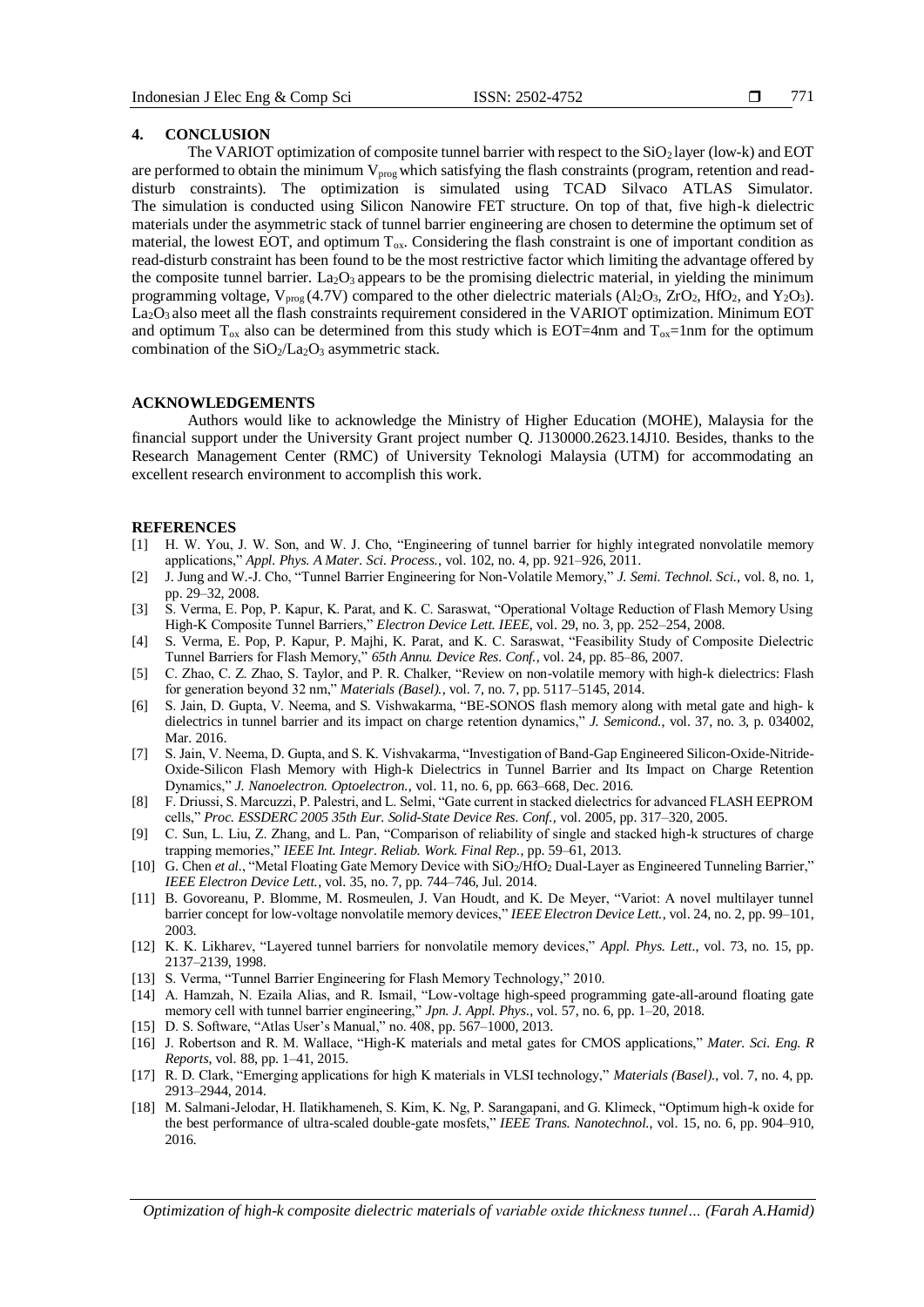# **4. CONCLUSION**

The VARIOT optimization of composite tunnel barrier with respect to the  $SiO<sub>2</sub>$  layer (low-k) and EOT are performed to obtain the minimum V<sub>prog</sub> which satisfying the flash constraints (program, retention and readdisturb constraints). The optimization is simulated using TCAD Silvaco ATLAS Simulator. The simulation is conducted using Silicon Nanowire FET structure. On top of that, five high-k dielectric materials under the asymmetric stack of tunnel barrier engineering are chosen to determine the optimum set of material, the lowest EOT, and optimum  $T_{ox}$ . Considering the flash constraint is one of important condition as read-disturb constraint has been found to be the most restrictive factor which limiting the advantage offered by the composite tunnel barrier. La<sub>2</sub>O<sub>3</sub> appears to be the promising dielectric material, in yielding the minimum programming voltage,  $V_{prog}(4.7V)$  compared to the other dielectric materials (Al<sub>2</sub>O<sub>3</sub>, ZrO<sub>2</sub>, HfO<sub>2</sub>, and Y<sub>2</sub>O<sub>3</sub>). La<sub>2</sub>O<sub>3</sub> also meet all the flash constraints requirement considered in the VARIOT optimization. Minimum EOT and optimum  $T_{ox}$  also can be determined from this study which is EOT=4nm and  $T_{ox}$ =1nm for the optimum combination of the  $SiO<sub>2</sub>/La<sub>2</sub>O<sub>3</sub>$  asymmetric stack.

## **ACKNOWLEDGEMENTS**

Authors would like to acknowledge the Ministry of Higher Education (MOHE), Malaysia for the financial support under the University Grant project number Q. J130000.2623.14J10. Besides, thanks to the Research Management Center (RMC) of University Teknologi Malaysia (UTM) for accommodating an excellent research environment to accomplish this work.

## **REFERENCES**

- [1] H. W. You, J. W. Son, and W. J. Cho, "Engineering of tunnel barrier for highly integrated nonvolatile memory applications," *Appl. Phys. A Mater. Sci. Process.*, vol. 102, no. 4, pp. 921–926, 2011.
- [2] J. Jung and W.-J. Cho, "Tunnel Barrier Engineering for Non-Volatile Memory," *J. Semi. Technol. Sci.*, vol. 8, no. 1, pp. 29–32, 2008.
- [3] S. Verma, E. Pop, P. Kapur, K. Parat, and K. C. Saraswat, "Operational Voltage Reduction of Flash Memory Using High-K Composite Tunnel Barriers," *Electron Device Lett. IEEE*, vol. 29, no. 3, pp. 252–254, 2008.
- [4] S. Verma, E. Pop, P. Kapur, P. Majhi, K. Parat, and K. C. Saraswat, "Feasibility Study of Composite Dielectric Tunnel Barriers for Flash Memory," *65th Annu. Device Res. Conf.*, vol. 24, pp. 85–86, 2007.
- [5] C. Zhao, C. Z. Zhao, S. Taylor, and P. R. Chalker, "Review on non-volatile memory with high-k dielectrics: Flash for generation beyond 32 nm," *Materials (Basel).*, vol. 7, no. 7, pp. 5117–5145, 2014.
- [6] S. Jain, D. Gupta, V. Neema, and S. Vishwakarma, "BE-SONOS flash memory along with metal gate and high- k dielectrics in tunnel barrier and its impact on charge retention dynamics," *J. Semicond.*, vol. 37, no. 3, p. 034002, Mar. 2016.
- [7] S. Jain, V. Neema, D. Gupta, and S. K. Vishvakarma, "Investigation of Band-Gap Engineered Silicon-Oxide-Nitride-Oxide-Silicon Flash Memory with High-k Dielectrics in Tunnel Barrier and Its Impact on Charge Retention Dynamics," *J. Nanoelectron. Optoelectron.*, vol. 11, no. 6, pp. 663–668, Dec. 2016.
- [8] F. Driussi, S. Marcuzzi, P. Palestri, and L. Selmi, "Gate current in stacked dielectrics for advanced FLASH EEPROM cells," *Proc. ESSDERC 2005 35th Eur. Solid-State Device Res. Conf.*, vol. 2005, pp. 317–320, 2005.
- [9] C. Sun, L. Liu, Z. Zhang, and L. Pan, "Comparison of reliability of single and stacked high-k structures of charge trapping memories," *IEEE Int. Integr. Reliab. Work. Final Rep.*, pp. 59–61, 2013.
- [10] G. Chen *et al.*, "Metal Floating Gate Memory Device with SiO<sub>2</sub>/HfO<sub>2</sub> Dual-Layer as Engineered Tunneling Barrier," *IEEE Electron Device Lett.*, vol. 35, no. 7, pp. 744–746, Jul. 2014.
- [11] B. Govoreanu, P. Blomme, M. Rosmeulen, J. Van Houdt, and K. De Meyer, "Variot: A novel multilayer tunnel barrier concept for low-voltage nonvolatile memory devices," *IEEE Electron Device Lett.*, vol. 24, no. 2, pp. 99–101, 2003.
- [12] K. K. Likharev, "Layered tunnel barriers for nonvolatile memory devices," *Appl. Phys. Lett.*, vol. 73, no. 15, pp. 2137–2139, 1998.
- [13] S. Verma, "Tunnel Barrier Engineering for Flash Memory Technology," 2010.
- [14] A. Hamzah, N. Ezaila Alias, and R. Ismail, "Low-voltage high-speed programming gate-all-around floating gate memory cell with tunnel barrier engineering," *Jpn. J. Appl. Phys.*, vol. 57, no. 6, pp. 1–20, 2018.
- [15] D. S. Software, "Atlas User's Manual," no. 408, pp. 567–1000, 2013.
- [16] J. Robertson and R. M. Wallace, "High-K materials and metal gates for CMOS applications," *Mater. Sci. Eng. R Reports*, vol. 88, pp. 1–41, 2015.
- [17] R. D. Clark, "Emerging applications for high K materials in VLSI technology," *Materials (Basel).*, vol. 7, no. 4, pp. 2913–2944, 2014.
- [18] M. Salmani-Jelodar, H. Ilatikhameneh, S. Kim, K. Ng, P. Sarangapani, and G. Klimeck, "Optimum high-k oxide for the best performance of ultra-scaled double-gate mosfets," *IEEE Trans. Nanotechnol.*, vol. 15, no. 6, pp. 904–910, 2016.

*Optimization of high-k composite dielectric materials of variable oxide thickness tunnel… (Farah A.Hamid)*